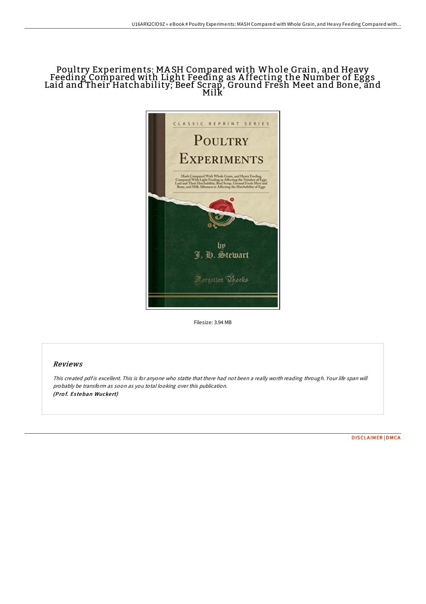## Poultry Experiments: MA SH Compared with Whole Grain, and Heavy Feeding Compared with Light Feeding as A ffecting the Number of Eggs Laid and Their Hatchability; Beef Scrap, Ground Fresh Meet and Bone, and Milk



Filesize: 3.94 MB

## Reviews

This created pdf is excellent. This is for anyone who statte that there had not been a really worth reading through. Your life span will probably be transform as soon as you total looking over this publication. (Prof. Esteban Wuckert)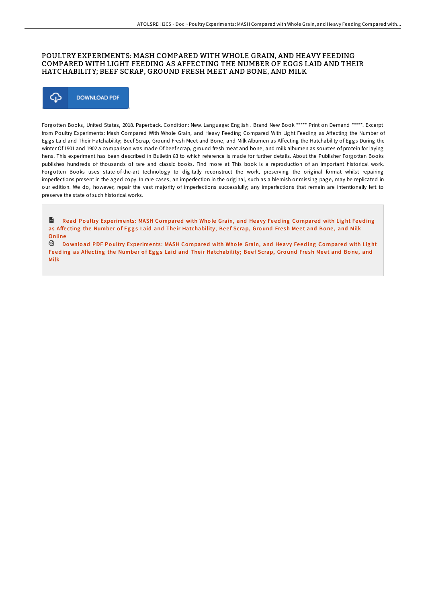## POULTRY EXPERIMENTS: MASH COMPARED WITH WHOLE GRAIN, AND HEAVY FEEDING COMPARED WITH LIGHT FEEDING AS AFFECTING THE NUMBER OF EGGS LAID AND THEIR HATCHABILITY; BEEF SCRAP, GROUND FRESH MEET AND BONE, AND MILK



Forgotten Books, United States, 2018. Paperback. Condition: New. Language: English . Brand New Book \*\*\*\*\* Print on Demand \*\*\*\*\*. Excerpt from Poultry Experiments: Mash Compared With Whole Grain, and Heavy Feeding Compared With Light Feeding as Affecting the Number of Eggs Laid and Their Hatchability; Beef Scrap, Ground Fresh Meet and Bone, and Milk Albumen as Affecting the Hatchability of Eggs During the winter Of 1901 and 1902 a comparison was made Of beef scrap, ground fresh meat and bone, and milk albumen as sources of protein for laying hens. This experiment has been described in Bulletin 83 to which reference is made for further details. About the Publisher Forgotten Books publishes hundreds of thousands of rare and classic books. Find more at This book is a reproduction of an important historical work. Forgotten Books uses state-of-the-art technology to digitally reconstruct the work, preserving the original format whilst repairing imperfections present in the aged copy. In rare cases, an imperfection in the original, such as a blemish or missing page, may be replicated in our edition. We do, however, repair the vast majority of imperfections successfully; any imperfections that remain are intentionally left to preserve the state of such historical works.

 $\mathbf{r}$ Read Poultry Experiments: MASH Compared with Whole Grain, and Heavy Feeding Compared with Light Feeding as Affecting the Number of Eggs Laid and Their [Hatchability;](http://almighty24.tech/poultry-experiments-mash-compared-with-whole-gra.html) Beef Scrap, Ground Fresh Meet and Bone, and Milk Online

<sup>回</sup> Download PDF Poultry Experiments: MASH Compared with Whole Grain, and Heavy Feeding Compared with Light Feeding as Affecting the Number of Eggs Laid and Their [Hatchability;](http://almighty24.tech/poultry-experiments-mash-compared-with-whole-gra.html) Beef Scrap, Ground Fresh Meet and Bone, and Milk